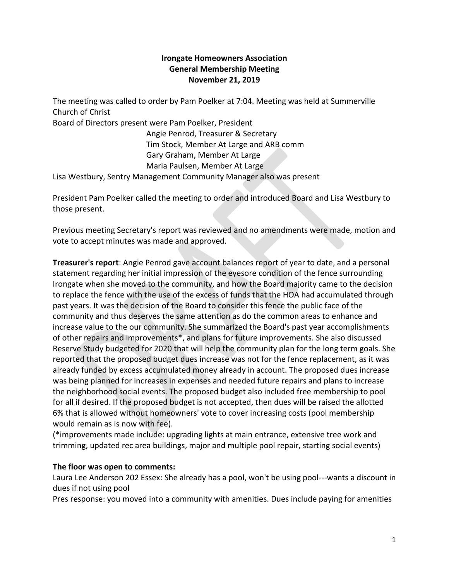## **Irongate Homeowners Association General Membership Meeting November 21, 2019**

The meeting was called to order by Pam Poelker at 7:04. Meeting was held at Summerville Church of Christ

Board of Directors present were Pam Poelker, President

Angie Penrod, Treasurer & Secretary Tim Stock, Member At Large and ARB comm Gary Graham, Member At Large Maria Paulsen, Member At Large

Lisa Westbury, Sentry Management Community Manager also was present

President Pam Poelker called the meeting to order and introduced Board and Lisa Westbury to those present.

Previous meeting Secretary's report was reviewed and no amendments were made, motion and vote to accept minutes was made and approved.

**Treasurer's report**: Angie Penrod gave account balances report of year to date, and a personal statement regarding her initial impression of the eyesore condition of the fence surrounding Irongate when she moved to the community, and how the Board majority came to the decision to replace the fence with the use of the excess of funds that the HOA had accumulated through past years. It was the decision of the Board to consider this fence the public face of the community and thus deserves the same attention as do the common areas to enhance and increase value to the our community. She summarized the Board's past year accomplishments of other repairs and improvements\*, and plans for future improvements. She also discussed Reserve Study budgeted for 2020 that will help the community plan for the long term goals. She reported that the proposed budget dues increase was not for the fence replacement, as it was already funded by excess accumulated money already in account. The proposed dues increase was being planned for increases in expenses and needed future repairs and plans to increase the neighborhood social events. The proposed budget also included free membership to pool for all if desired. If the proposed budget is not accepted, then dues will be raised the allotted 6% that is allowed without homeowners' vote to cover increasing costs (pool membership would remain as is now with fee).

(\*improvements made include: upgrading lights at main entrance, extensive tree work and trimming, updated rec area buildings, major and multiple pool repair, starting social events)

## **The floor was open to comments:**

Laura Lee Anderson 202 Essex: She already has a pool, won't be using pool---wants a discount in dues if not using pool

Pres response: you moved into a community with amenities. Dues include paying for amenities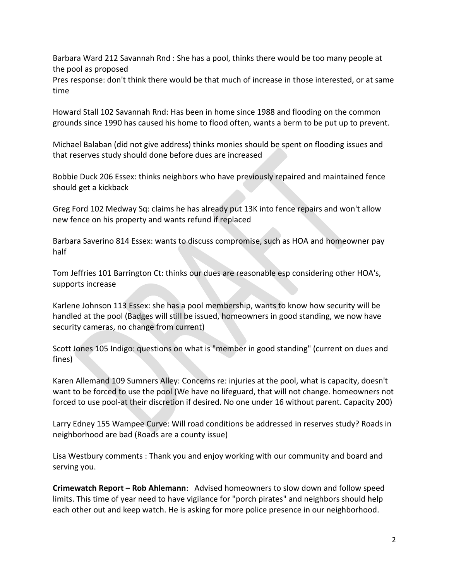Barbara Ward 212 Savannah Rnd : She has a pool, thinks there would be too many people at the pool as proposed

Pres response: don't think there would be that much of increase in those interested, or at same time

Howard Stall 102 Savannah Rnd: Has been in home since 1988 and flooding on the common grounds since 1990 has caused his home to flood often, wants a berm to be put up to prevent.

Michael Balaban (did not give address) thinks monies should be spent on flooding issues and that reserves study should done before dues are increased

Bobbie Duck 206 Essex: thinks neighbors who have previously repaired and maintained fence should get a kickback

Greg Ford 102 Medway Sq: claims he has already put 13K into fence repairs and won't allow new fence on his property and wants refund if replaced

Barbara Saverino 814 Essex: wants to discuss compromise, such as HOA and homeowner pay half

Tom Jeffries 101 Barrington Ct: thinks our dues are reasonable esp considering other HOA's, supports increase

Karlene Johnson 113 Essex: she has a pool membership, wants to know how security will be handled at the pool (Badges will still be issued, homeowners in good standing, we now have security cameras, no change from current)

Scott Jones 105 Indigo: questions on what is "member in good standing" (current on dues and fines)

Karen Allemand 109 Sumners Alley: Concerns re: injuries at the pool, what is capacity, doesn't want to be forced to use the pool (We have no lifeguard, that will not change. homeowners not forced to use pool-at their discretion if desired. No one under 16 without parent. Capacity 200)

Larry Edney 155 Wampee Curve: Will road conditions be addressed in reserves study? Roads in neighborhood are bad (Roads are a county issue)

Lisa Westbury comments : Thank you and enjoy working with our community and board and serving you.

**Crimewatch Report – Rob Ahlemann**: Advised homeowners to slow down and follow speed limits. This time of year need to have vigilance for "porch pirates" and neighbors should help each other out and keep watch. He is asking for more police presence in our neighborhood.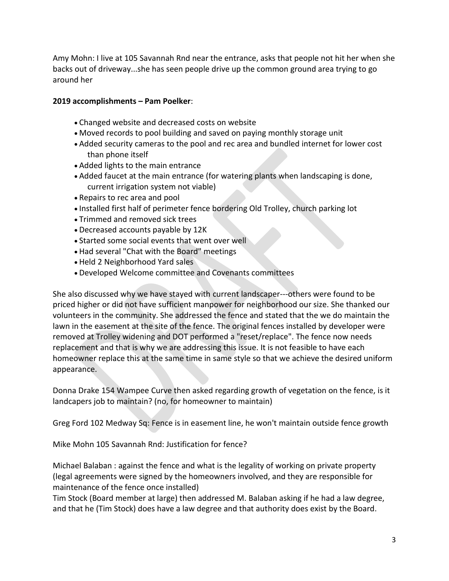Amy Mohn: I live at 105 Savannah Rnd near the entrance, asks that people not hit her when she backs out of driveway...she has seen people drive up the common ground area trying to go around her

## **2019 accomplishments – Pam Poelker**:

- Changed website and decreased costs on website
- Moved records to pool building and saved on paying monthly storage unit
- Added security cameras to the pool and rec area and bundled internet for lower cost than phone itself
- Added lights to the main entrance
- Added faucet at the main entrance (for watering plants when landscaping is done, current irrigation system not viable)
- Repairs to rec area and pool
- Installed first half of perimeter fence bordering Old Trolley, church parking lot
- Trimmed and removed sick trees
- Decreased accounts payable by 12K
- Started some social events that went over well
- Had several "Chat with the Board" meetings
- Held 2 Neighborhood Yard sales
- Developed Welcome committee and Covenants committees

She also discussed why we have stayed with current landscaper---others were found to be priced higher or did not have sufficient manpower for neighborhood our size. She thanked our volunteers in the community. She addressed the fence and stated that the we do maintain the lawn in the easement at the site of the fence. The original fences installed by developer were removed at Trolley widening and DOT performed a "reset/replace". The fence now needs replacement and that is why we are addressing this issue. It is not feasible to have each homeowner replace this at the same time in same style so that we achieve the desired uniform appearance.

Donna Drake 154 Wampee Curve then asked regarding growth of vegetation on the fence, is it landcapers job to maintain? (no, for homeowner to maintain)

Greg Ford 102 Medway Sq: Fence is in easement line, he won't maintain outside fence growth

Mike Mohn 105 Savannah Rnd: Justification for fence?

Michael Balaban : against the fence and what is the legality of working on private property (legal agreements were signed by the homeowners involved, and they are responsible for maintenance of the fence once installed)

Tim Stock (Board member at large) then addressed M. Balaban asking if he had a law degree, and that he (Tim Stock) does have a law degree and that authority does exist by the Board.